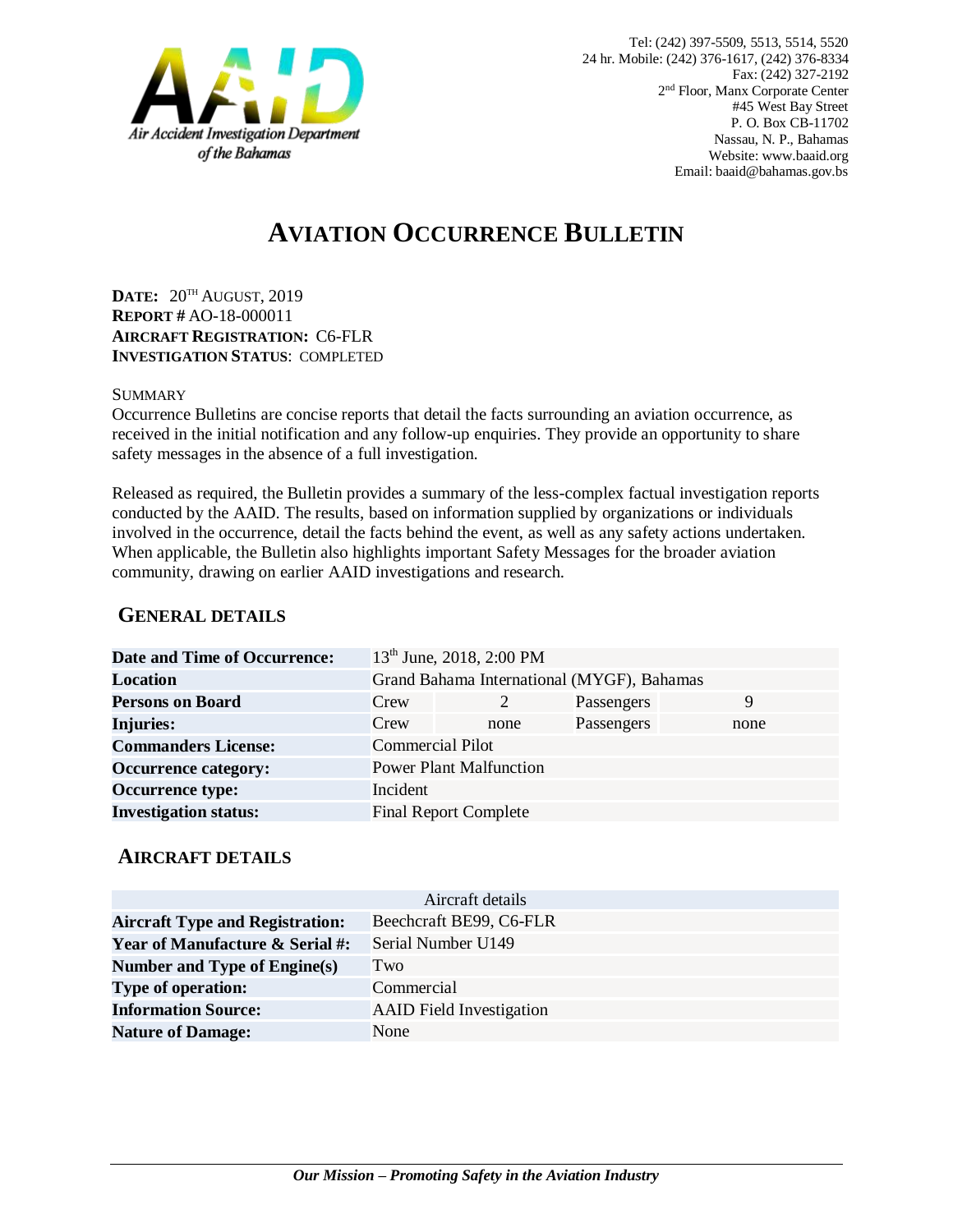

# **AVIATION OCCURRENCE BULLETIN**

**DATE:** 20TH AUGUST, 2019 **REPORT #** AO-18-000011 **AIRCRAFT REGISTRATION:** C6-FLR **INVESTIGATION STATUS**: COMPLETED

#### SUMMARY

Occurrence Bulletins are concise reports that detail the facts surrounding an aviation occurrence, as received in the initial notification and any follow-up enquiries. They provide an opportunity to share safety messages in the absence of a full investigation*.*

Released as required, the Bulletin provides a summary of the less-complex factual investigation reports conducted by the AAID. The results, based on information supplied by organizations or individuals involved in the occurrence, detail the facts behind the event, as well as any safety actions undertaken. When applicable, the Bulletin also highlights important Safety Messages for the broader aviation community, drawing on earlier AAID investigations and research.

### **GENERAL DETAILS**

| <b>Date and Time of Occurrence:</b> |                                            | 13 <sup>th</sup> June, 2018, 2:00 PM |            |      |
|-------------------------------------|--------------------------------------------|--------------------------------------|------------|------|
| <b>Location</b>                     | Grand Bahama International (MYGF), Bahamas |                                      |            |      |
| <b>Persons on Board</b>             | Crew                                       | 2                                    | Passengers | 9    |
| <b>Injuries:</b>                    | Crew                                       | none                                 | Passengers | none |
| <b>Commanders License:</b>          | <b>Commercial Pilot</b>                    |                                      |            |      |
| <b>Occurrence category:</b>         |                                            | <b>Power Plant Malfunction</b>       |            |      |
| <b>Occurrence type:</b>             | Incident                                   |                                      |            |      |
| <b>Investigation status:</b>        |                                            | <b>Final Report Complete</b>         |            |      |

#### **AIRCRAFT DETAILS**

|                                            | Aircraft details                |  |  |
|--------------------------------------------|---------------------------------|--|--|
| <b>Aircraft Type and Registration:</b>     | Beechcraft BE99, C6-FLR         |  |  |
| <b>Year of Manufacture &amp; Serial #:</b> | Serial Number U149              |  |  |
| Number and Type of Engine(s)               | Two                             |  |  |
| <b>Type of operation:</b>                  | Commercial                      |  |  |
| <b>Information Source:</b>                 | <b>AAID</b> Field Investigation |  |  |
| <b>Nature of Damage:</b>                   | None                            |  |  |